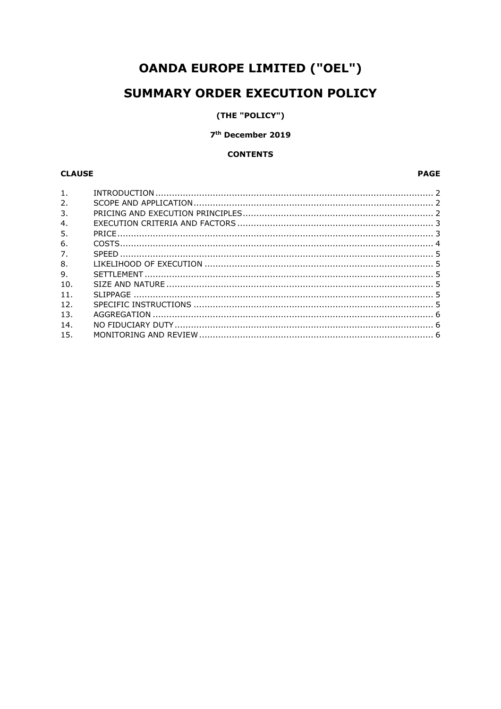# **OANDA EUROPE LIMITED ("OEL")**

# **SUMMARY ORDER EXECUTION POLICY**

# (THE "POLICY")

# 7<sup>th</sup> December 2019

# **CONTENTS**

# **CLAUSE**

# **PAGE**

| 1 <sub>1</sub>   |  |
|------------------|--|
| 2.               |  |
| 3.               |  |
| $\overline{4}$ . |  |
| 5.               |  |
| 6.               |  |
| 7.               |  |
| 8.               |  |
| 9.               |  |
| 10.              |  |
| 11.              |  |
| 12 <sub>1</sub>  |  |
| 13.              |  |
| 14.              |  |
| 15.              |  |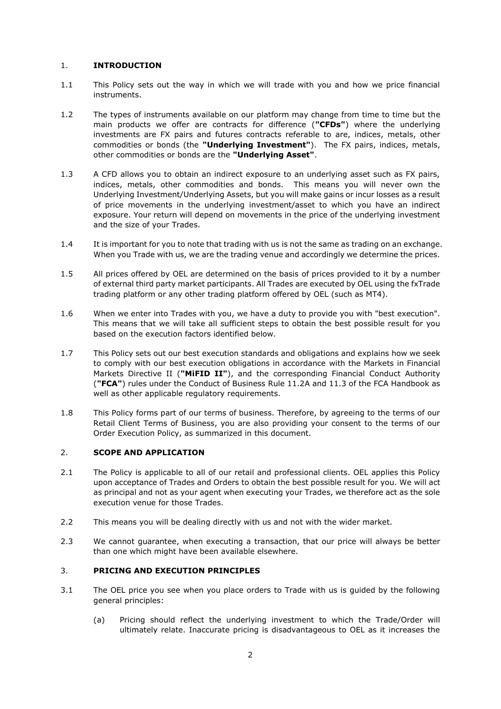### 1. **INTRODUCTION**

- 1.1 This Policy sets out the way in which we will trade with you and how we price financial instruments.
- 1.2 The types of instruments available on our platform may change from time to time but the main products we offer are contracts for difference (**"CFDs"**) where the underlying investments are FX pairs and futures contracts referable to are, indices, metals, other commodities or bonds (the **"Underlying Investment"**). The FX pairs, indices, metals, other commodities or bonds are the **"Underlying Asset"**.
- 1.3 A CFD allows you to obtain an indirect exposure to an underlying asset such as FX pairs, indices, metals, other commodities and bonds. This means you will never own the Underlying Investment/Underlying Assets, but you will make gains or incur losses as a result of price movements in the underlying investment/asset to which you have an indirect exposure. Your return will depend on movements in the price of the underlying investment and the size of your Trades.
- 1.4 It is important for you to note that trading with us is not the same as trading on an exchange. When you Trade with us, we are the trading venue and accordingly we determine the prices.
- 1.5 All prices offered by OEL are determined on the basis of prices provided to it by a number of external third party market participants. All Trades are executed by OEL using the fxTrade trading platform or any other trading platform offered by OEL (such as MT4).
- 1.6 When we enter into Trades with you, we have a duty to provide you with "best execution". This means that we will take all sufficient steps to obtain the best possible result for you based on the execution factors identified below.
- 1.7 This Policy sets out our best execution standards and obligations and explains how we seek to comply with our best execution obligations in accordance with the Markets in Financial Markets Directive II (**"MiFID II"**), and the corresponding Financial Conduct Authority (**"FCA"**) rules under the Conduct of Business Rule 11.2A and 11.3 of the FCA Handbook as well as other applicable regulatory requirements.
- 1.8 This Policy forms part of our terms of business. Therefore, by agreeing to the terms of our Retail Client Terms of Business, you are also providing your consent to the terms of our Order Execution Policy, as summarized in this document.

# 2. **SCOPE AND APPLICATION**

- 2.1 The Policy is applicable to all of our retail and professional clients. OEL applies this Policy upon acceptance of Trades and Orders to obtain the best possible result for you. We will act as principal and not as your agent when executing your Trades, we therefore act as the sole execution venue for those Trades.
- 2.2 This means you will be dealing directly with us and not with the wider market.
- 2.3 We cannot guarantee, when executing a transaction, that our price will always be better than one which might have been available elsewhere.

# 3. **PRICING AND EXECUTION PRINCIPLES**

- 3.1 The OEL price you see when you place orders to Trade with us is guided by the following general principles:
	- (a) Pricing should reflect the underlying investment to which the Trade/Order will ultimately relate. Inaccurate pricing is disadvantageous to OEL as it increases the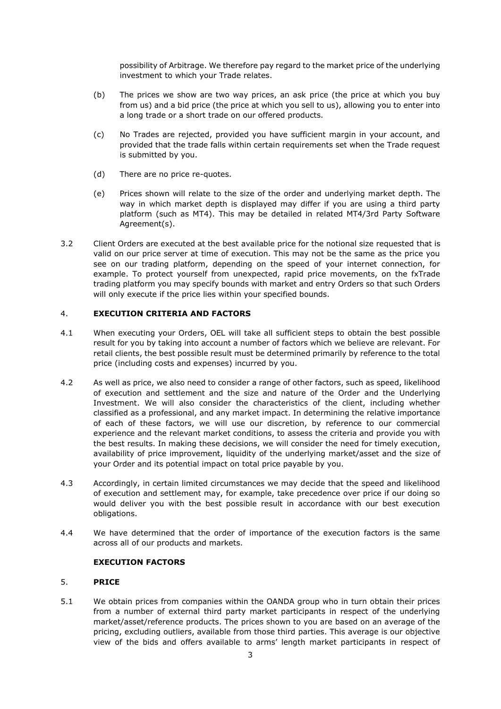possibility of Arbitrage. We therefore pay regard to the market price of the underlying investment to which your Trade relates.

- (b) The prices we show are two way prices, an ask price (the price at which you buy from us) and a bid price (the price at which you sell to us), allowing you to enter into a long trade or a short trade on our offered products.
- (c) No Trades are rejected, provided you have sufficient margin in your account, and provided that the trade falls within certain requirements set when the Trade request is submitted by you.
- (d) There are no price re-quotes.
- (e) Prices shown will relate to the size of the order and underlying market depth. The way in which market depth is displayed may differ if you are using a third party platform (such as MT4). This may be detailed in related MT4/3rd Party Software Agreement(s).
- 3.2 Client Orders are executed at the best available price for the notional size requested that is valid on our price server at time of execution. This may not be the same as the price you see on our trading platform, depending on the speed of your internet connection, for example. To protect yourself from unexpected, rapid price movements, on the fxTrade trading platform you may specify bounds with market and entry Orders so that such Orders will only execute if the price lies within your specified bounds.

## 4. **EXECUTION CRITERIA AND FACTORS**

- 4.1 When executing your Orders, OEL will take all sufficient steps to obtain the best possible result for you by taking into account a number of factors which we believe are relevant. For retail clients, the best possible result must be determined primarily by reference to the total price (including costs and expenses) incurred by you.
- 4.2 As well as price, we also need to consider a range of other factors, such as speed, likelihood of execution and settlement and the size and nature of the Order and the Underlying Investment. We will also consider the characteristics of the client, including whether classified as a professional, and any market impact. In determining the relative importance of each of these factors, we will use our discretion, by reference to our commercial experience and the relevant market conditions, to assess the criteria and provide you with the best results. In making these decisions, we will consider the need for timely execution, availability of price improvement, liquidity of the underlying market/asset and the size of your Order and its potential impact on total price payable by you.
- 4.3 Accordingly, in certain limited circumstances we may decide that the speed and likelihood of execution and settlement may, for example, take precedence over price if our doing so would deliver you with the best possible result in accordance with our best execution obligations.
- 4.4 We have determined that the order of importance of the execution factors is the same across all of our products and markets.

### **EXECUTION FACTORS**

#### 5. **PRICE**

5.1 We obtain prices from companies within the OANDA group who in turn obtain their prices from a number of external third party market participants in respect of the underlying market/asset/reference products. The prices shown to you are based on an average of the pricing, excluding outliers, available from those third parties. This average is our objective view of the bids and offers available to arms' length market participants in respect of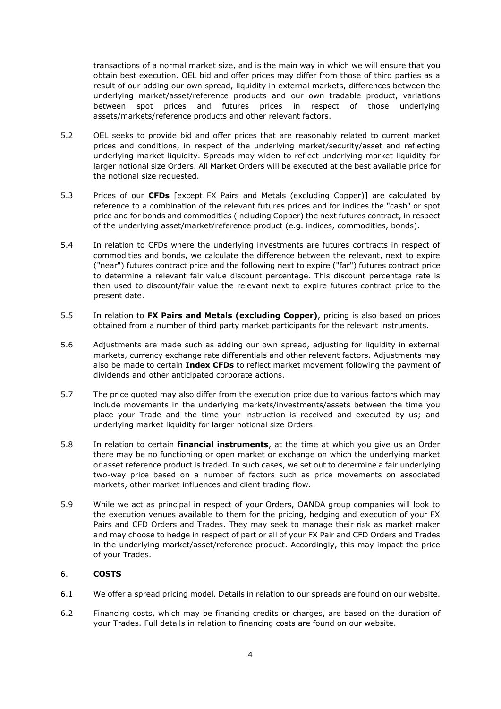transactions of a normal market size, and is the main way in which we will ensure that you obtain best execution. OEL bid and offer prices may differ from those of third parties as a result of our adding our own spread, liquidity in external markets, differences between the underlying market/asset/reference products and our own tradable product, variations between spot prices and futures prices in respect of those underlying assets/markets/reference products and other relevant factors.

- 5.2 OEL seeks to provide bid and offer prices that are reasonably related to current market prices and conditions, in respect of the underlying market/security/asset and reflecting underlying market liquidity. Spreads may widen to reflect underlying market liquidity for larger notional size Orders. All Market Orders will be executed at the best available price for the notional size requested.
- 5.3 Prices of our **CFDs** [except FX Pairs and Metals (excluding Copper)] are calculated by reference to a combination of the relevant futures prices and for indices the "cash" or spot price and for bonds and commodities (including Copper) the next futures contract, in respect of the underlying asset/market/reference product (e.g. indices, commodities, bonds).
- 5.4 In relation to CFDs where the underlying investments are futures contracts in respect of commodities and bonds, we calculate the difference between the relevant, next to expire ("near") futures contract price and the following next to expire ("far") futures contract price to determine a relevant fair value discount percentage. This discount percentage rate is then used to discount/fair value the relevant next to expire futures contract price to the present date.
- 5.5 In relation to **FX Pairs and Metals (excluding Copper)**, pricing is also based on prices obtained from a number of third party market participants for the relevant instruments.
- 5.6 Adjustments are made such as adding our own spread, adjusting for liquidity in external markets, currency exchange rate differentials and other relevant factors. Adjustments may also be made to certain **Index CFDs** to reflect market movement following the payment of dividends and other anticipated corporate actions.
- 5.7 The price quoted may also differ from the execution price due to various factors which may include movements in the underlying markets/investments/assets between the time you place your Trade and the time your instruction is received and executed by us; and underlying market liquidity for larger notional size Orders.
- 5.8 In relation to certain **financial instruments**, at the time at which you give us an Order there may be no functioning or open market or exchange on which the underlying market or asset reference product is traded. In such cases, we set out to determine a fair underlying two-way price based on a number of factors such as price movements on associated markets, other market influences and client trading flow.
- 5.9 While we act as principal in respect of your Orders, OANDA group companies will look to the execution venues available to them for the pricing, hedging and execution of your FX Pairs and CFD Orders and Trades. They may seek to manage their risk as market maker and may choose to hedge in respect of part or all of your FX Pair and CFD Orders and Trades in the underlying market/asset/reference product. Accordingly, this may impact the price of your Trades.

# 6. **COSTS**

- 6.1 We offer a spread pricing model. Details in relation to our spreads are found on our website.
- 6.2 Financing costs, which may be financing credits or charges, are based on the duration of your Trades. Full details in relation to financing costs are found on our website.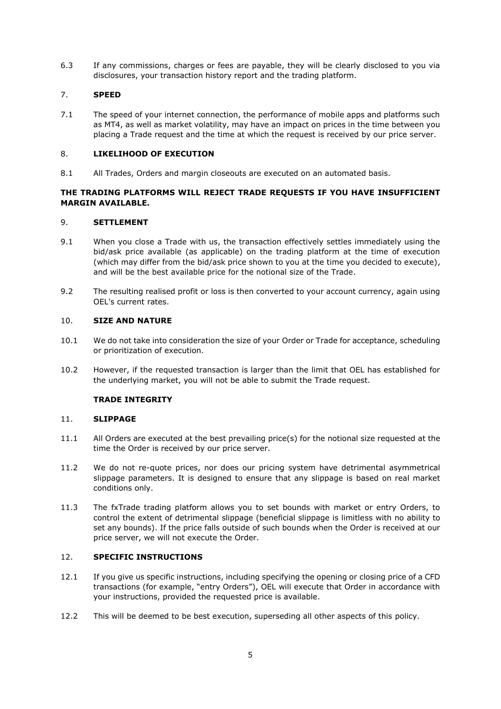6.3 If any commissions, charges or fees are payable, they will be clearly disclosed to you via disclosures, your transaction history report and the trading platform.

# 7. **SPEED**

7.1 The speed of your internet connection, the performance of mobile apps and platforms such as MT4, as well as market volatility, may have an impact on prices in the time between you placing a Trade request and the time at which the request is received by our price server.

### 8. **LIKELIHOOD OF EXECUTION**

8.1 All Trades, Orders and margin closeouts are executed on an automated basis.

# **THE TRADING PLATFORMS WILL REJECT TRADE REQUESTS IF YOU HAVE INSUFFICIENT MARGIN AVAILABLE.**

#### 9. **SETTLEMENT**

- 9.1 When you close a Trade with us, the transaction effectively settles immediately using the bid/ask price available (as applicable) on the trading platform at the time of execution (which may differ from the bid/ask price shown to you at the time you decided to execute), and will be the best available price for the notional size of the Trade.
- 9.2 The resulting realised profit or loss is then converted to your account currency, again using OEL's current rates.

#### 10. **SIZE AND NATURE**

- 10.1 We do not take into consideration the size of your Order or Trade for acceptance, scheduling or prioritization of execution.
- 10.2 However, if the requested transaction is larger than the limit that OEL has established for the underlying market, you will not be able to submit the Trade request.

#### **TRADE INTEGRITY**

#### 11. **SLIPPAGE**

- 11.1 All Orders are executed at the best prevailing price(s) for the notional size requested at the time the Order is received by our price server.
- 11.2 We do not re-quote prices, nor does our pricing system have detrimental asymmetrical slippage parameters. It is designed to ensure that any slippage is based on real market conditions only.
- 11.3 The fxTrade trading platform allows you to set bounds with market or entry Orders, to control the extent of detrimental slippage (beneficial slippage is limitless with no ability to set any bounds). If the price falls outside of such bounds when the Order is received at our price server, we will not execute the Order.

#### 12. **SPECIFIC INSTRUCTIONS**

- 12.1 If you give us specific instructions, including specifying the opening or closing price of a CFD transactions (for example, "entry Orders"), OEL will execute that Order in accordance with your instructions, provided the requested price is available.
- 12.2 This will be deemed to be best execution, superseding all other aspects of this policy.